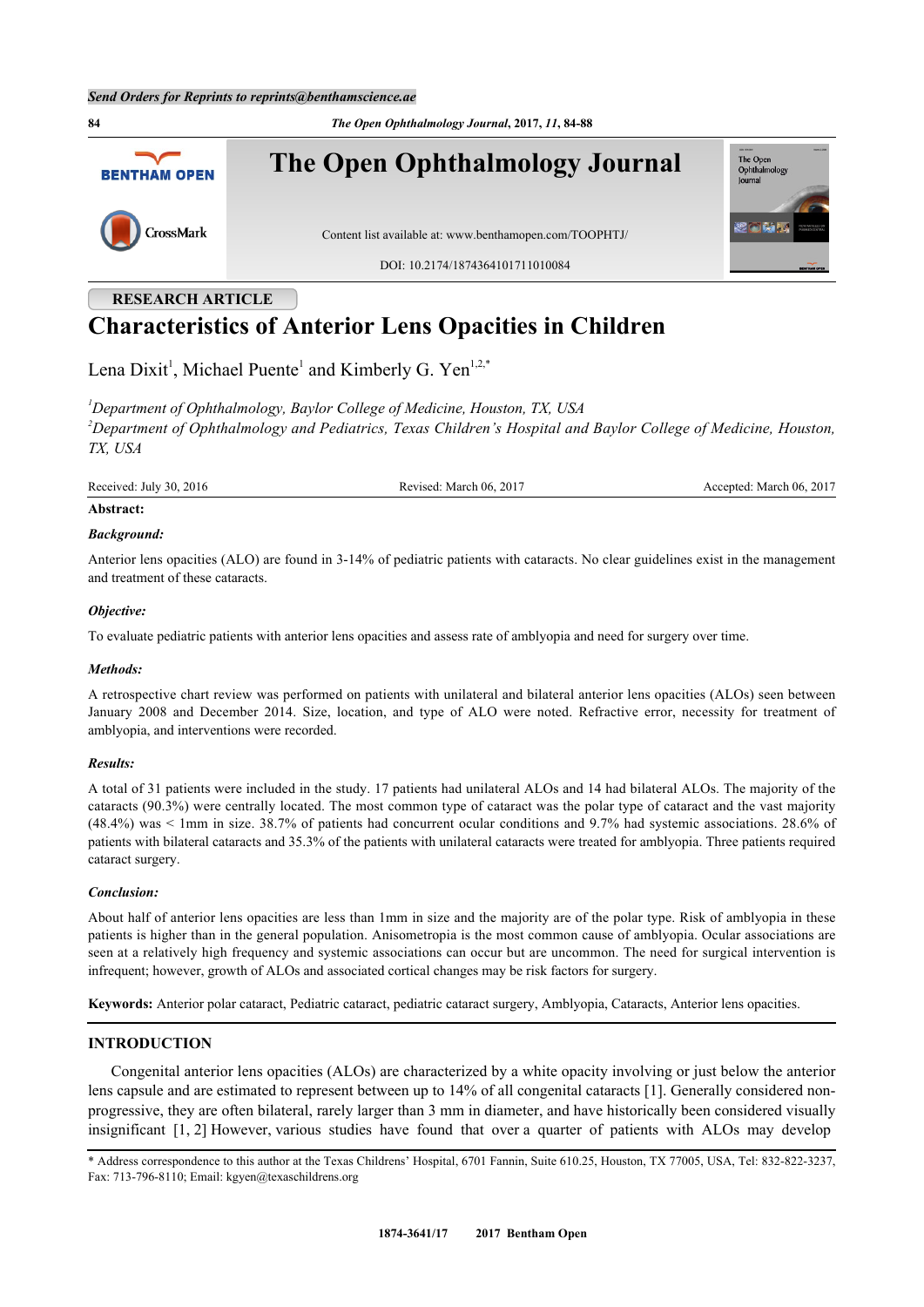**RESEARCH ARTICLE**

**84** *The Open Ophthalmology Journal***, 2017,** *11***, 84-88 The Open Ophthalmology Journal** The Open<br>Ophthalm **BENTHAM OPEN** lournal CrossMark Content list available at: [www.benthamopen.com/TOOPHTJ/](http://www.benthamopen.com/TOOPHTJ/) DOI: [10.2174/1874364101711010084](http://dx.doi.org/10.2174/1874364101711010084)

# **Characteristics of Anterior Lens Opacities in Children**

Lena Dixit<sup>[1](#page-0-0)</sup>, Michael Puente<sup>1</sup> and Kimberly G. Yen<sup>1,[2](#page-0-1),[\\*](#page-0-2)</sup>

<span id="page-0-1"></span><span id="page-0-0"></span>*<sup>1</sup>Department of Ophthalmology, Baylor College of Medicine, Houston, TX, USA <sup>2</sup>Department of Ophthalmology and Pediatrics, Texas Children's Hospital and Baylor College of Medicine, Houston, TX, USA*

Received: July 30, 2016 Revised: March 06, 2017 Accepted: March 06, 2017

## **Abstract:**

## *Background:*

Anterior lens opacities (ALO) are found in 3-14% of pediatric patients with cataracts. No clear guidelines exist in the management and treatment of these cataracts.

## *Objective:*

To evaluate pediatric patients with anterior lens opacities and assess rate of amblyopia and need for surgery over time.

## *Methods:*

A retrospective chart review was performed on patients with unilateral and bilateral anterior lens opacities (ALOs) seen between January 2008 and December 2014. Size, location, and type of ALO were noted. Refractive error, necessity for treatment of amblyopia, and interventions were recorded.

## *Results:*

A total of 31 patients were included in the study. 17 patients had unilateral ALOs and 14 had bilateral ALOs. The majority of the cataracts (90.3%) were centrally located. The most common type of cataract was the polar type of cataract and the vast majority (48.4%) was < 1mm in size. 38.7% of patients had concurrent ocular conditions and 9.7% had systemic associations. 28.6% of patients with bilateral cataracts and 35.3% of the patients with unilateral cataracts were treated for amblyopia. Three patients required cataract surgery.

## *Conclusion:*

About half of anterior lens opacities are less than 1mm in size and the majority are of the polar type. Risk of amblyopia in these patients is higher than in the general population. Anisometropia is the most common cause of amblyopia. Ocular associations are seen at a relatively high frequency and systemic associations can occur but are uncommon. The need for surgical intervention is infrequent; however, growth of ALOs and associated cortical changes may be risk factors for surgery.

**Keywords:** Anterior polar cataract, Pediatric cataract, pediatric cataract surgery, Amblyopia, Cataracts, Anterior lens opacities.

# **INTRODUCTION**

Congenital anterior lens opacities (ALOs) are characterized by a white opacity involving or just below the anterior lens capsule and are estimated to represent between up to 14% of all congenital cataracts [[1\]](#page-4-0). Generally considered nonprogressive, they are often bilateral, rarely larger than 3 mm in diameter, and have historically been considered visually insignificant [\[1](#page-4-0), [2](#page-4-1)] However, various studies have found that over a quarter of patients with ALOs may develop

<span id="page-0-2"></span>\* Address correspondence to this author at the Texas Childrens' Hospital, 6701 Fannin, Suite 610.25, Houston, TX 77005, USA, Tel: 832-822-3237, Fax: 713-796-8110; Email: [kgyen@texaschildrens.org](mailto:kgyen@texaschildrens.org)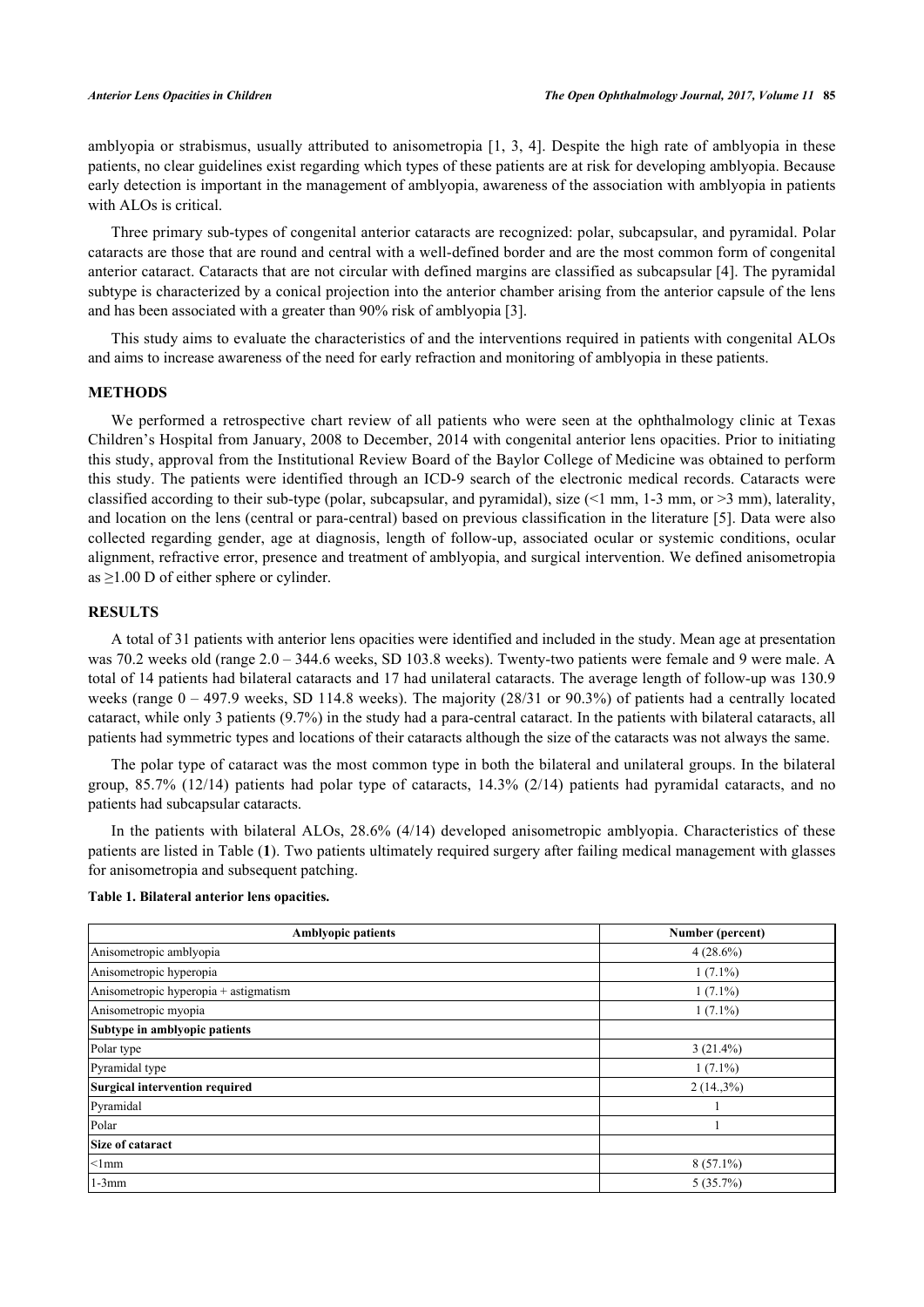amblyopia or strabismus, usually attributed to anisometropia [\[1](#page-4-0), [3,](#page-4-2) [4\]](#page-4-3). Despite the high rate of amblyopia in these patients, no clear guidelines exist regarding which types of these patients are at risk for developing amblyopia. Because early detection is important in the management of amblyopia, awareness of the association with amblyopia in patients with ALOs is critical.

Three primary sub-types of congenital anterior cataracts are recognized: polar, subcapsular, and pyramidal. Polar cataracts are those that are round and central with a well-defined border and are the most common form of congenital anterior cataract. Cataracts that are not circular with defined margins are classified as subcapsular [[4\]](#page-4-3). The pyramidal subtype is characterized by a conical projection into the anterior chamber arising from the anterior capsule of the lens and has been associated with a greater than 90% risk of amblyopia [[3\]](#page-4-2).

This study aims to evaluate the characteristics of and the interventions required in patients with congenital ALOs and aims to increase awareness of the need for early refraction and monitoring of amblyopia in these patients.

### **METHODS**

We performed a retrospective chart review of all patients who were seen at the ophthalmology clinic at Texas Children's Hospital from January, 2008 to December, 2014 with congenital anterior lens opacities. Prior to initiating this study, approval from the Institutional Review Board of the Baylor College of Medicine was obtained to perform this study. The patients were identified through an ICD-9 search of the electronic medical records. Cataracts were classified according to their sub-type (polar, subcapsular, and pyramidal), size  $(1 \text{ mm}, 1\text{-}3 \text{ mm}, 0\text{ mm})$ , laterality, and location on the lens (central or para-central) based on previous classification in the literature [\[5](#page-4-4)]. Data were also collected regarding gender, age at diagnosis, length of follow-up, associated ocular or systemic conditions, ocular alignment, refractive error, presence and treatment of amblyopia, and surgical intervention. We defined anisometropia as  $\geq$ 1.00 D of either sphere or cylinder.

# **RESULTS**

A total of 31 patients with anterior lens opacities were identified and included in the study. Mean age at presentation was 70.2 weeks old (range  $2.0 - 344.6$  weeks, SD 103.8 weeks). Twenty-two patients were female and 9 were male. A total of 14 patients had bilateral cataracts and 17 had unilateral cataracts. The average length of follow-up was 130.9 weeks (range  $0 - 497.9$  weeks, SD 114.8 weeks). The majority (28/31 or 90.3%) of patients had a centrally located cataract, while only 3 patients (9.7%) in the study had a para-central cataract. In the patients with bilateral cataracts, all patients had symmetric types and locations of their cataracts although the size of the cataracts was not always the same.

The polar type of cataract was the most common type in both the bilateral and unilateral groups. In the bilateral group, 85.7% (12/14) patients had polar type of cataracts, 14.3% (2/14) patients had pyramidal cataracts, and no patients had subcapsular cataracts.

In the patients with bilateral ALOs, 28.6% (4/14) developed anisometropic amblyopia. Characteristics of these patients are listed in Table (**[1](#page-1-0)**). Two patients ultimately required surgery after failing medical management with glasses for anisometropia and subsequent patching.

<span id="page-1-0"></span>

| Table 1. Bilateral anterior lens opacities. |  |  |
|---------------------------------------------|--|--|
|---------------------------------------------|--|--|

| <b>Amblyopic patients</b>             | Number (percent) |
|---------------------------------------|------------------|
| Anisometropic amblyopia               | $4(28.6\%)$      |
| Anisometropic hyperopia               | $1(7.1\%)$       |
| Anisometropic hyperopia + astigmatism | $1(7.1\%)$       |
| Anisometropic myopia                  | $1(7.1\%)$       |
| Subtype in amblyopic patients         |                  |
| Polar type                            | $3(21.4\%)$      |
| Pyramidal type                        | $1(7.1\%)$       |
| Surgical intervention required        | $2(14,3\%)$      |
| Pyramidal                             |                  |
| Polar                                 |                  |
| Size of cataract                      |                  |
| $<$ 1mm                               | $8(57.1\%)$      |
| $1-3mm$                               | $5(35.7\%)$      |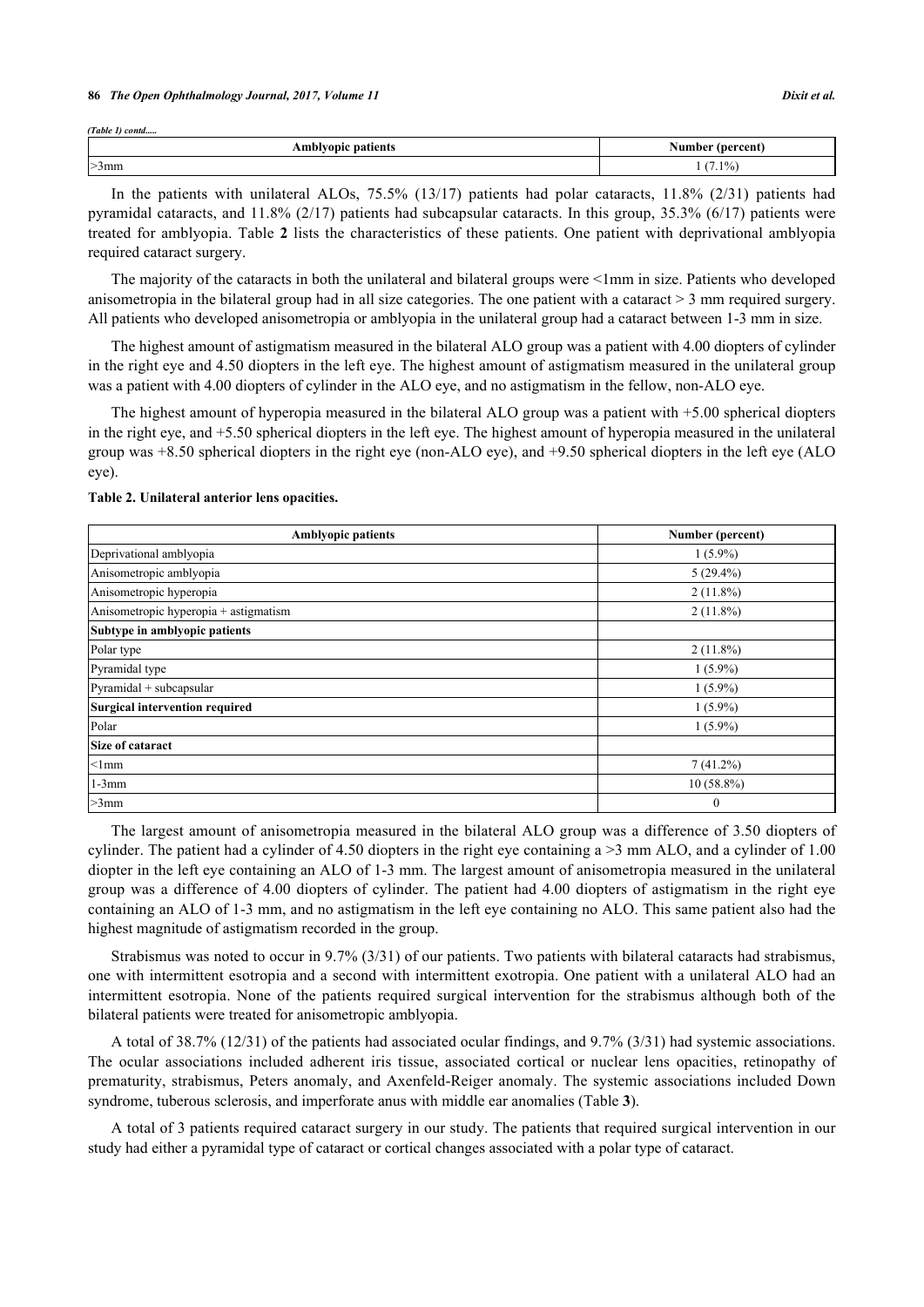#### **86** *The Open Ophthalmology Journal, 2017, Volume 11 Dixit et al.*

*(Table 1) contd.....*

| -<br>patients<br>blvopic<br>-АШО" | (percent)<br>ı he:<br>Nun. |
|-----------------------------------|----------------------------|
| $>3$ mm                           | $(1.1\%)$                  |

In the patients with unilateral ALOs, 75.5% (13/17) patients had polar cataracts, 11.8% (2/31) patients had pyramidal cataracts, and 11.8% (2/17) patients had subcapsular cataracts. In this group, 35.3% (6/17) patients were treated for amblyopia. Table **[2](#page-2-0)** lists the characteristics of these patients. One patient with deprivational amblyopia required cataract surgery.

The majority of the cataracts in both the unilateral and bilateral groups were <1mm in size. Patients who developed anisometropia in the bilateral group had in all size categories. The one patient with a cataract  $>$  3 mm required surgery. All patients who developed anisometropia or amblyopia in the unilateral group had a cataract between 1-3 mm in size.

The highest amount of astigmatism measured in the bilateral ALO group was a patient with 4.00 diopters of cylinder in the right eye and 4.50 diopters in the left eye. The highest amount of astigmatism measured in the unilateral group was a patient with 4.00 diopters of cylinder in the ALO eye, and no astigmatism in the fellow, non-ALO eye.

The highest amount of hyperopia measured in the bilateral ALO group was a patient with +5.00 spherical diopters in the right eye, and +5.50 spherical diopters in the left eye. The highest amount of hyperopia measured in the unilateral group was +8.50 spherical diopters in the right eye (non-ALO eye), and +9.50 spherical diopters in the left eye (ALO eye).

| <b>Amblyopic patients</b>             | Number (percent) |
|---------------------------------------|------------------|
| Deprivational amblyopia               | $1(5.9\%)$       |
| Anisometropic amblyopia               | $5(29.4\%)$      |
| Anisometropic hyperopia               | $2(11.8\%)$      |
| Anisometropic hyperopia + astigmatism | $2(11.8\%)$      |
| Subtype in amblyopic patients         |                  |
| Polar type                            | $2(11.8\%)$      |
| Pyramidal type                        | $1(5.9\%)$       |
| Pyramidal + subcapsular               | $1(5.9\%)$       |
| Surgical intervention required        | $1(5.9\%)$       |
| Polar                                 | $1(5.9\%)$       |
| Size of cataract                      |                  |
| $<$ 1mm                               | $7(41.2\%)$      |
| $1-3mm$                               | $10(58.8\%)$     |
| $>3$ mm                               | $\theta$         |

#### <span id="page-2-0"></span>**Table 2. Unilateral anterior lens opacities.**

The largest amount of anisometropia measured in the bilateral ALO group was a difference of 3.50 diopters of cylinder. The patient had a cylinder of 4.50 diopters in the right eye containing  $a > 3$  mm ALO, and a cylinder of 1.00 diopter in the left eye containing an ALO of 1-3 mm. The largest amount of anisometropia measured in the unilateral group was a difference of 4.00 diopters of cylinder. The patient had 4.00 diopters of astigmatism in the right eye containing an ALO of 1-3 mm, and no astigmatism in the left eye containing no ALO. This same patient also had the highest magnitude of astigmatism recorded in the group.

Strabismus was noted to occur in 9.7% (3/31) of our patients. Two patients with bilateral cataracts had strabismus, one with intermittent esotropia and a second with intermittent exotropia. One patient with a unilateral ALO had an intermittent esotropia. None of the patients required surgical intervention for the strabismus although both of the bilateral patients were treated for anisometropic amblyopia.

A total of 38.7% (12/31) of the patients had associated ocular findings, and 9.7% (3/31) had systemic associations. The ocular associations included adherent iris tissue, associated cortical or nuclear lens opacities, retinopathy of prematurity, strabismus, Peters anomaly, and Axenfeld-Reiger anomaly. The systemic associations included Down syndrome, tuberous sclerosis, and imperforate anus with middle ear anomalies (Table **[3](#page-3-0)**).

A total of 3 patients required cataract surgery in our study. The patients that required surgical intervention in our study had either a pyramidal type of cataract or cortical changes associated with a polar type of cataract.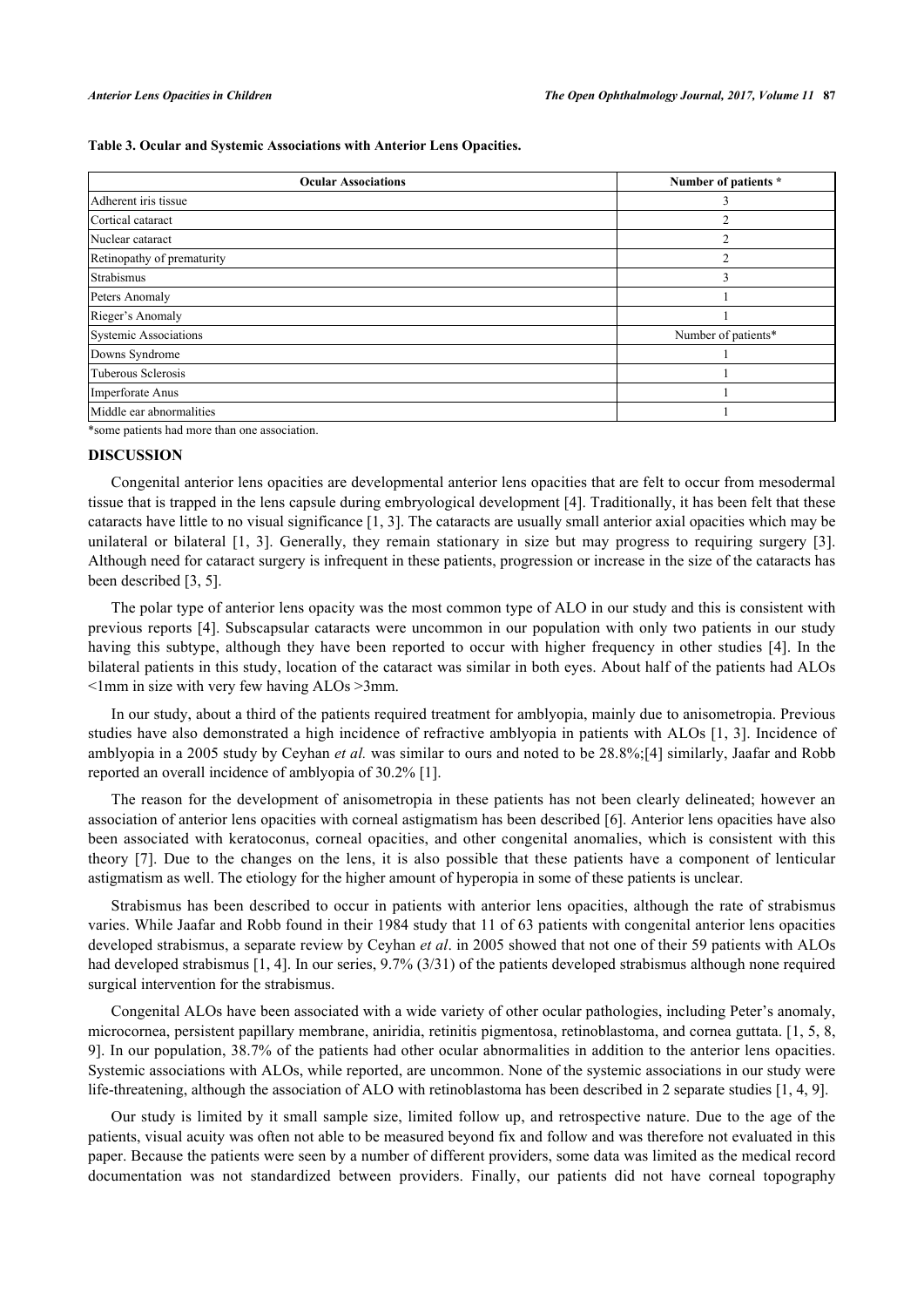<span id="page-3-0"></span>**Table 3. Ocular and Systemic Associations with Anterior Lens Opacities.**

| <b>Ocular Associations</b>   | Number of patients * |
|------------------------------|----------------------|
| Adherent iris tissue         |                      |
| Cortical cataract            |                      |
| Nuclear cataract             | $\overline{c}$       |
| Retinopathy of prematurity   | 2                    |
| Strabismus                   | 3                    |
| Peters Anomaly               |                      |
| Rieger's Anomaly             |                      |
| <b>Systemic Associations</b> | Number of patients*  |
| Downs Syndrome               |                      |
| Tuberous Sclerosis           |                      |
| Imperforate Anus             |                      |
| Middle ear abnormalities     |                      |

\*some patients had more than one association.

## **DISCUSSION**

Congenital anterior lens opacities are developmental anterior lens opacities that are felt to occur from mesodermal tissue that is trapped in the lens capsule during embryological development [[4\]](#page-4-3). Traditionally, it has been felt that these cataracts have little to no visual significance [[1,](#page-4-0) [3\]](#page-4-2). The cataracts are usually small anterior axial opacities which may be unilateral or bilateral [\[1](#page-4-0), [3](#page-4-2)]. Generally, they remain stationary in size but may progress to requiring surgery[[3\]](#page-4-2). Although need for cataract surgery is infrequent in these patients, progression or increase in the size of the cataracts has been described [\[3](#page-4-2), [5](#page-4-4)].

The polar type of anterior lens opacity was the most common type of ALO in our study and this is consistent with previous reports [[4\]](#page-4-3). Subscapsular cataracts were uncommon in our population with only two patients in our study having this subtype, although they have been reported to occur with higher frequency in other studies[[4\]](#page-4-3). In the bilateral patients in this study, location of the cataract was similar in both eyes. About half of the patients had ALOs  $\leq$ 1mm in size with very few having ALOs  $\geq$ 3mm.

In our study, about a third of the patients required treatment for amblyopia, mainly due to anisometropia. Previous studies have also demonstrated a high incidence of refractive amblyopia in patients with ALOs [[1,](#page-4-0) [3\]](#page-4-2). Incidence of amblyopia in a 2005 study by Ceyhan *et al.* was similar to ours and noted to be 28.8%;[[4\]](#page-4-3) similarly, Jaafar and Robb reported an overall incidence of amblyopia of 30.2% [[1\]](#page-4-0).

The reason for the development of anisometropia in these patients has not been clearly delineated; however an association of anterior lens opacities with corneal astigmatism has been described [[6](#page-4-5)]. Anterior lens opacities have also been associated with keratoconus, corneal opacities, and other congenital anomalies, which is consistent with this theory [\[7](#page-4-6)]. Due to the changes on the lens, it is also possible that these patients have a component of lenticular astigmatism as well. The etiology for the higher amount of hyperopia in some of these patients is unclear.

Strabismus has been described to occur in patients with anterior lens opacities, although the rate of strabismus varies. While Jaafar and Robb found in their 1984 study that 11 of 63 patients with congenital anterior lens opacities developed strabismus, a separate review by Ceyhan *et al*. in 2005 showed that not one of their 59 patients with ALOs had developed strabismus [[1,](#page-4-0) [4\]](#page-4-3). In our series, 9.7% (3/31) of the patients developed strabismus although none required surgical intervention for the strabismus.

Congenital ALOs have been associated with a wide variety of other ocular pathologies, including Peter's anomaly, microcornea, persistent papillary membrane, aniridia, retinitis pigmentosa, retinoblastoma, and cornea guttata. [\[1](#page-4-0), [5,](#page-4-4) [8](#page-4-7), [9\]](#page-4-8). In our population, 38.7% of the patients had other ocular abnormalities in addition to the anterior lens opacities. Systemic associations with ALOs, while reported, are uncommon. None of the systemic associations in our study were life-threatening, although the association of ALO with retinoblastoma has been described in 2 separate studies [\[1](#page-4-0), [4](#page-4-3), [9](#page-4-8)].

Our study is limited by it small sample size, limited follow up, and retrospective nature. Due to the age of the patients, visual acuity was often not able to be measured beyond fix and follow and was therefore not evaluated in this paper. Because the patients were seen by a number of different providers, some data was limited as the medical record documentation was not standardized between providers. Finally, our patients did not have corneal topography